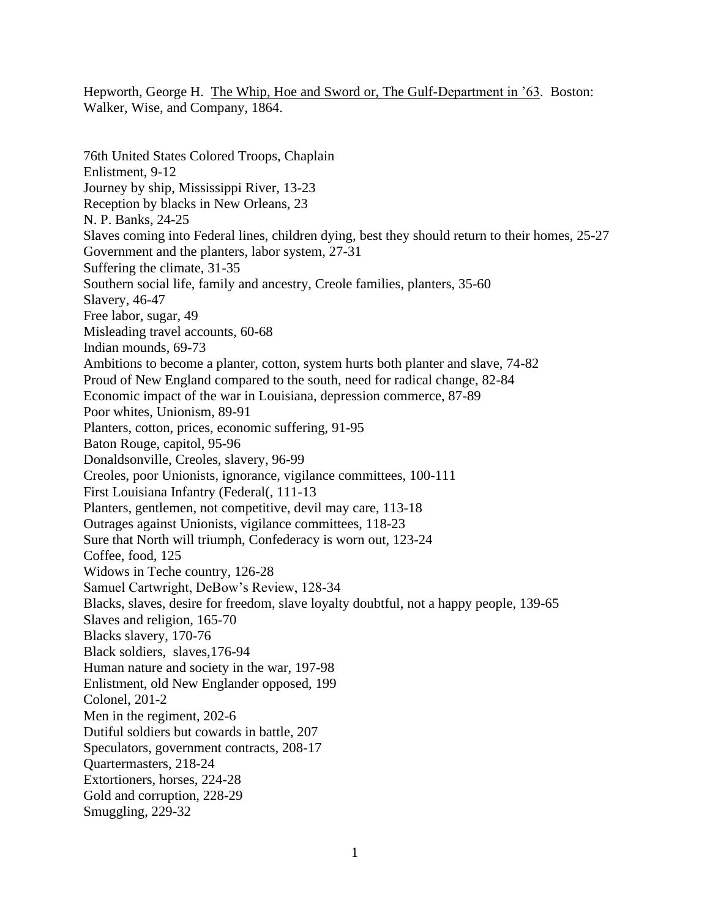Hepworth, George H. The Whip, Hoe and Sword or, The Gulf-Department in '63. Boston: Walker, Wise, and Company, 1864.

76th United States Colored Troops, Chaplain Enlistment, 9-12 Journey by ship, Mississippi River, 13-23 Reception by blacks in New Orleans, 23 N. P. Banks, 24-25 Slaves coming into Federal lines, children dying, best they should return to their homes, 25-27 Government and the planters, labor system, 27-31 Suffering the climate, 31-35 Southern social life, family and ancestry, Creole families, planters, 35-60 Slavery, 46-47 Free labor, sugar, 49 Misleading travel accounts, 60-68 Indian mounds, 69-73 Ambitions to become a planter, cotton, system hurts both planter and slave, 74-82 Proud of New England compared to the south, need for radical change, 82-84 Economic impact of the war in Louisiana, depression commerce, 87-89 Poor whites, Unionism, 89-91 Planters, cotton, prices, economic suffering, 91-95 Baton Rouge, capitol, 95-96 Donaldsonville, Creoles, slavery, 96-99 Creoles, poor Unionists, ignorance, vigilance committees, 100-111 First Louisiana Infantry (Federal(, 111-13 Planters, gentlemen, not competitive, devil may care, 113-18 Outrages against Unionists, vigilance committees, 118-23 Sure that North will triumph, Confederacy is worn out, 123-24 Coffee, food, 125 Widows in Teche country, 126-28 Samuel Cartwright, DeBow's Review, 128-34 Blacks, slaves, desire for freedom, slave loyalty doubtful, not a happy people, 139-65 Slaves and religion, 165-70 Blacks slavery, 170-76 Black soldiers, slaves,176-94 Human nature and society in the war, 197-98 Enlistment, old New Englander opposed, 199 Colonel, 201-2 Men in the regiment, 202-6 Dutiful soldiers but cowards in battle, 207 Speculators, government contracts, 208-17 Quartermasters, 218-24 Extortioners, horses, 224-28 Gold and corruption, 228-29 Smuggling, 229-32